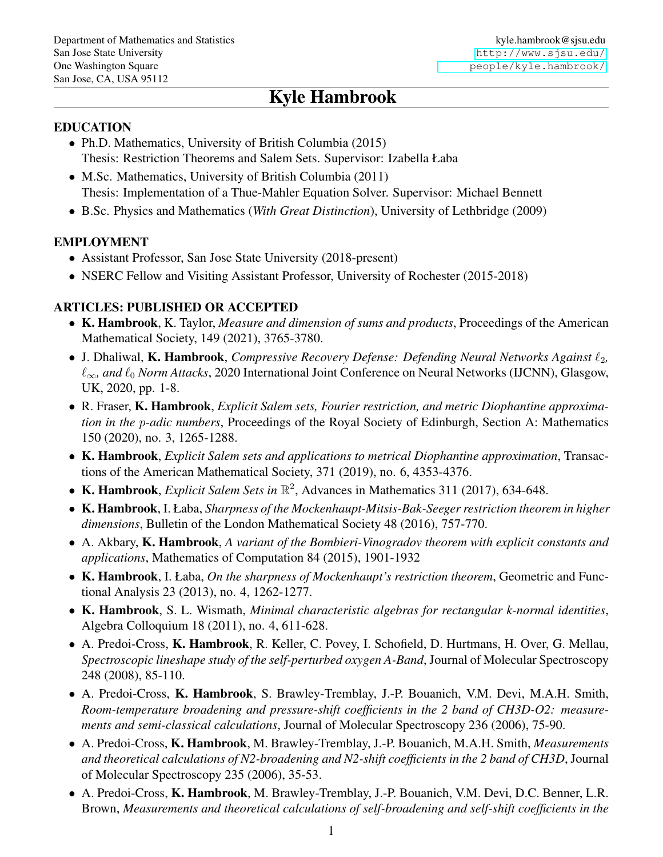# Kyle Hambrook

#### EDUCATION

- Ph.D. Mathematics, University of British Columbia (2015) Thesis: Restriction Theorems and Salem Sets. Supervisor: Izabella Łaba
- M.Sc. Mathematics, University of British Columbia (2011) Thesis: Implementation of a Thue-Mahler Equation Solver. Supervisor: Michael Bennett
- B.Sc. Physics and Mathematics (*With Great Distinction*), University of Lethbridge (2009)

#### EMPLOYMENT

- Assistant Professor, San Jose State University (2018-present)
- NSERC Fellow and Visiting Assistant Professor, University of Rochester (2015-2018)

#### ARTICLES: PUBLISHED OR ACCEPTED

- K. Hambrook, K. Taylor, *Measure and dimension of sums and products*, Proceedings of the American Mathematical Society, 149 (2021), 3765-3780.
- J. Dhaliwal, K. Hambrook, *Compressive Recovery Defense: Defending Neural Networks Against*  $\ell_2$ , `∞*, and* `<sup>0</sup> *Norm Attacks*, 2020 International Joint Conference on Neural Networks (IJCNN), Glasgow, UK, 2020, pp. 1-8.
- R. Fraser, K. Hambrook, *Explicit Salem sets, Fourier restriction, and metric Diophantine approximation in the* p*-adic numbers*, Proceedings of the Royal Society of Edinburgh, Section A: Mathematics 150 (2020), no. 3, 1265-1288.
- K. Hambrook, *Explicit Salem sets and applications to metrical Diophantine approximation*, Transactions of the American Mathematical Society, 371 (2019), no. 6, 4353-4376.
- K. Hambrook, *Explicit Salem Sets in*  $\mathbb{R}^2$ , Advances in Mathematics 311 (2017), 634-648.
- K. Hambrook, I. Łaba, *Sharpness of the Mockenhaupt-Mitsis-Bak-Seeger restriction theorem in higher dimensions*, Bulletin of the London Mathematical Society 48 (2016), 757-770.
- A. Akbary, K. Hambrook, *A variant of the Bombieri-Vinogradov theorem with explicit constants and applications*, Mathematics of Computation 84 (2015), 1901-1932
- K. Hambrook, I. Łaba, *On the sharpness of Mockenhaupt's restriction theorem*, Geometric and Functional Analysis 23 (2013), no. 4, 1262-1277.
- K. Hambrook, S. L. Wismath, *Minimal characteristic algebras for rectangular k-normal identities*, Algebra Colloquium 18 (2011), no. 4, 611-628.
- A. Predoi-Cross, K. Hambrook, R. Keller, C. Povey, I. Schofield, D. Hurtmans, H. Over, G. Mellau, *Spectroscopic lineshape study of the self-perturbed oxygen A-Band*, Journal of Molecular Spectroscopy 248 (2008), 85-110.
- A. Predoi-Cross, K. Hambrook, S. Brawley-Tremblay, J.-P. Bouanich, V.M. Devi, M.A.H. Smith, *Room-temperature broadening and pressure-shift coefficients in the 2 band of CH3D-O2: measurements and semi-classical calculations*, Journal of Molecular Spectroscopy 236 (2006), 75-90.
- A. Predoi-Cross, K. Hambrook, M. Brawley-Tremblay, J.-P. Bouanich, M.A.H. Smith, *Measurements and theoretical calculations of N2-broadening and N2-shift coefficients in the 2 band of CH3D*, Journal of Molecular Spectroscopy 235 (2006), 35-53.
- A. Predoi-Cross, K. Hambrook, M. Brawley-Tremblay, J.-P. Bouanich, V.M. Devi, D.C. Benner, L.R. Brown, *Measurements and theoretical calculations of self-broadening and self-shift coefficients in the*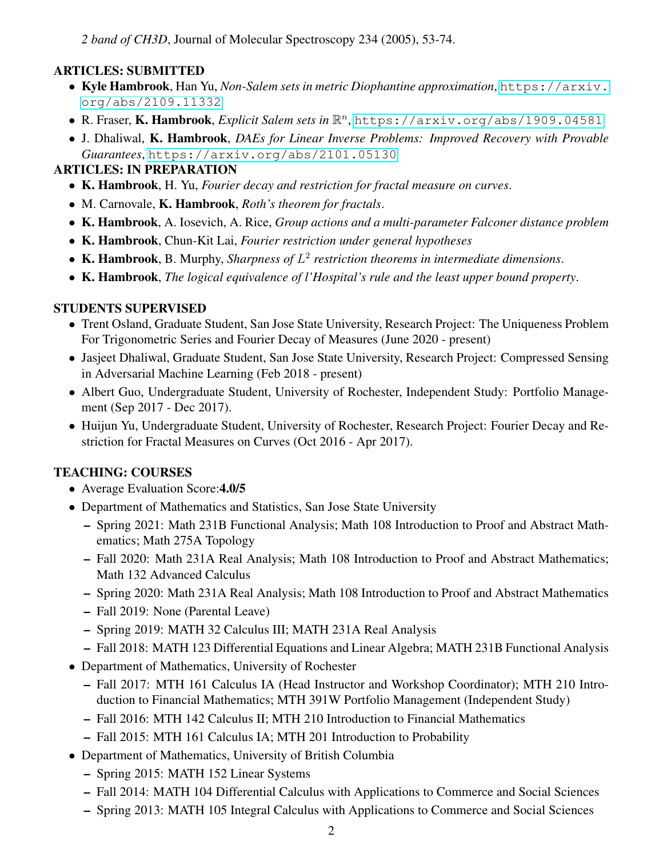*2 band of CH3D*, Journal of Molecular Spectroscopy 234 (2005), 53-74.

# ARTICLES: SUBMITTED

- Kyle Hambrook, Han Yu, *Non-Salem sets in metric Diophantine approximation*, [https://arxiv.](https://arxiv.org/abs/2109.11332) [org/abs/2109.11332](https://arxiv.org/abs/2109.11332)
- **R. Fraser, K. Hambrook**, *Explicit Salem sets in*  $\mathbb{R}^n$ , <https://arxiv.org/abs/1909.04581>
- J. Dhaliwal, K. Hambrook, *DAEs for Linear Inverse Problems: Improved Recovery with Provable Guarantees*, <https://arxiv.org/abs/2101.05130>

## ARTICLES: IN PREPARATION

- K. Hambrook, H. Yu, *Fourier decay and restriction for fractal measure on curves*.
- M. Carnovale, K. Hambrook, *Roth's theorem for fractals*.
- K. Hambrook, A. Iosevich, A. Rice, *Group actions and a multi-parameter Falconer distance problem*
- K. Hambrook, Chun-Kit Lai, *Fourier restriction under general hypotheses*
- K. Hambrook, B. Murphy, *Sharpness of* L 2 *restriction theorems in intermediate dimensions*.
- K. Hambrook, *The logical equivalence of l'Hospital's rule and the least upper bound property*.

## STUDENTS SUPERVISED

- Trent Osland, Graduate Student, San Jose State University, Research Project: The Uniqueness Problem For Trigonometric Series and Fourier Decay of Measures (June 2020 - present)
- Jasjeet Dhaliwal, Graduate Student, San Jose State University, Research Project: Compressed Sensing in Adversarial Machine Learning (Feb 2018 - present)
- Albert Guo, Undergraduate Student, University of Rochester, Independent Study: Portfolio Management (Sep 2017 - Dec 2017).
- Huijun Yu, Undergraduate Student, University of Rochester, Research Project: Fourier Decay and Restriction for Fractal Measures on Curves (Oct 2016 - Apr 2017).

## TEACHING: COURSES

- Average Evaluation Score: 4.0/5
- Department of Mathematics and Statistics, San Jose State University
	- Spring 2021: Math 231B Functional Analysis; Math 108 Introduction to Proof and Abstract Mathematics; Math 275A Topology
	- Fall 2020: Math 231A Real Analysis; Math 108 Introduction to Proof and Abstract Mathematics; Math 132 Advanced Calculus
	- Spring 2020: Math 231A Real Analysis; Math 108 Introduction to Proof and Abstract Mathematics
	- Fall 2019: None (Parental Leave)
	- Spring 2019: MATH 32 Calculus III; MATH 231A Real Analysis
	- Fall 2018: MATH 123 Differential Equations and Linear Algebra; MATH 231B Functional Analysis
- Department of Mathematics, University of Rochester
	- Fall 2017: MTH 161 Calculus IA (Head Instructor and Workshop Coordinator); MTH 210 Introduction to Financial Mathematics; MTH 391W Portfolio Management (Independent Study)
	- Fall 2016: MTH 142 Calculus II; MTH 210 Introduction to Financial Mathematics
	- Fall 2015: MTH 161 Calculus IA; MTH 201 Introduction to Probability
- Department of Mathematics, University of British Columbia
	- Spring 2015: MATH 152 Linear Systems
	- Fall 2014: MATH 104 Differential Calculus with Applications to Commerce and Social Sciences
	- Spring 2013: MATH 105 Integral Calculus with Applications to Commerce and Social Sciences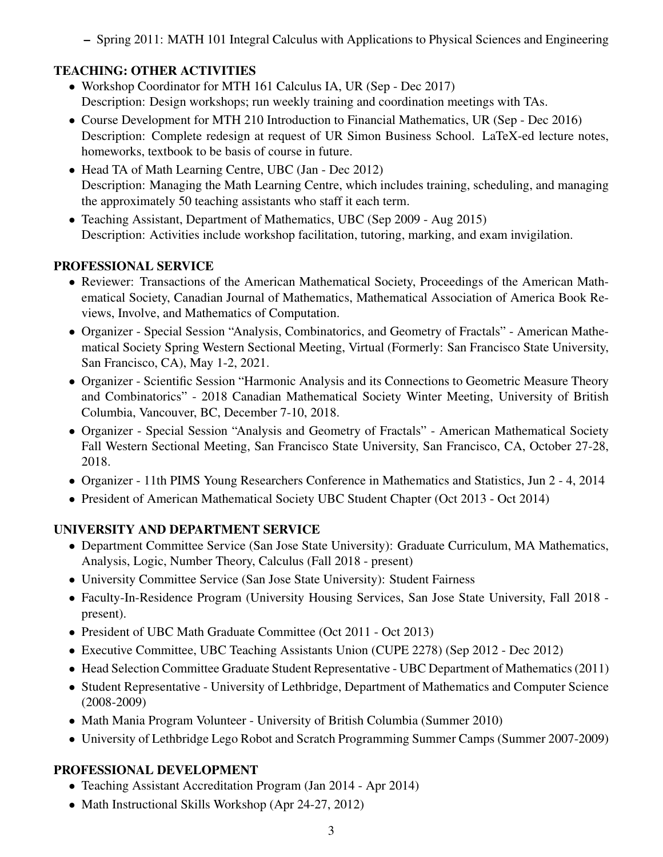– Spring 2011: MATH 101 Integral Calculus with Applications to Physical Sciences and Engineering

# TEACHING: OTHER ACTIVITIES

- Workshop Coordinator for MTH 161 Calculus IA, UR (Sep Dec 2017) Description: Design workshops; run weekly training and coordination meetings with TAs.
- Course Development for MTH 210 Introduction to Financial Mathematics, UR (Sep Dec 2016) Description: Complete redesign at request of UR Simon Business School. LaTeX-ed lecture notes, homeworks, textbook to be basis of course in future.
- Head TA of Math Learning Centre, UBC (Jan Dec 2012) Description: Managing the Math Learning Centre, which includes training, scheduling, and managing the approximately 50 teaching assistants who staff it each term.
- Teaching Assistant, Department of Mathematics, UBC (Sep 2009 Aug 2015) Description: Activities include workshop facilitation, tutoring, marking, and exam invigilation.

#### PROFESSIONAL SERVICE

- Reviewer: Transactions of the American Mathematical Society, Proceedings of the American Mathematical Society, Canadian Journal of Mathematics, Mathematical Association of America Book Reviews, Involve, and Mathematics of Computation.
- Organizer Special Session "Analysis, Combinatorics, and Geometry of Fractals" American Mathematical Society Spring Western Sectional Meeting, Virtual (Formerly: San Francisco State University, San Francisco, CA), May 1-2, 2021.
- Organizer Scientific Session "Harmonic Analysis and its Connections to Geometric Measure Theory and Combinatorics" - 2018 Canadian Mathematical Society Winter Meeting, University of British Columbia, Vancouver, BC, December 7-10, 2018.
- Organizer Special Session "Analysis and Geometry of Fractals" American Mathematical Society Fall Western Sectional Meeting, San Francisco State University, San Francisco, CA, October 27-28, 2018.
- Organizer 11th PIMS Young Researchers Conference in Mathematics and Statistics, Jun 2 4, 2014
- President of American Mathematical Society UBC Student Chapter (Oct 2013 Oct 2014)

## UNIVERSITY AND DEPARTMENT SERVICE

- Department Committee Service (San Jose State University): Graduate Curriculum, MA Mathematics, Analysis, Logic, Number Theory, Calculus (Fall 2018 - present)
- University Committee Service (San Jose State University): Student Fairness
- Faculty-In-Residence Program (University Housing Services, San Jose State University, Fall 2018 present).
- President of UBC Math Graduate Committee (Oct 2011 Oct 2013)
- Executive Committee, UBC Teaching Assistants Union (CUPE 2278) (Sep 2012 Dec 2012)
- Head Selection Committee Graduate Student Representative UBC Department of Mathematics (2011)
- Student Representative University of Lethbridge, Department of Mathematics and Computer Science (2008-2009)
- Math Mania Program Volunteer University of British Columbia (Summer 2010)
- University of Lethbridge Lego Robot and Scratch Programming Summer Camps (Summer 2007-2009)

## PROFESSIONAL DEVELOPMENT

- Teaching Assistant Accreditation Program (Jan 2014 Apr 2014)
- Math Instructional Skills Workshop (Apr 24-27, 2012)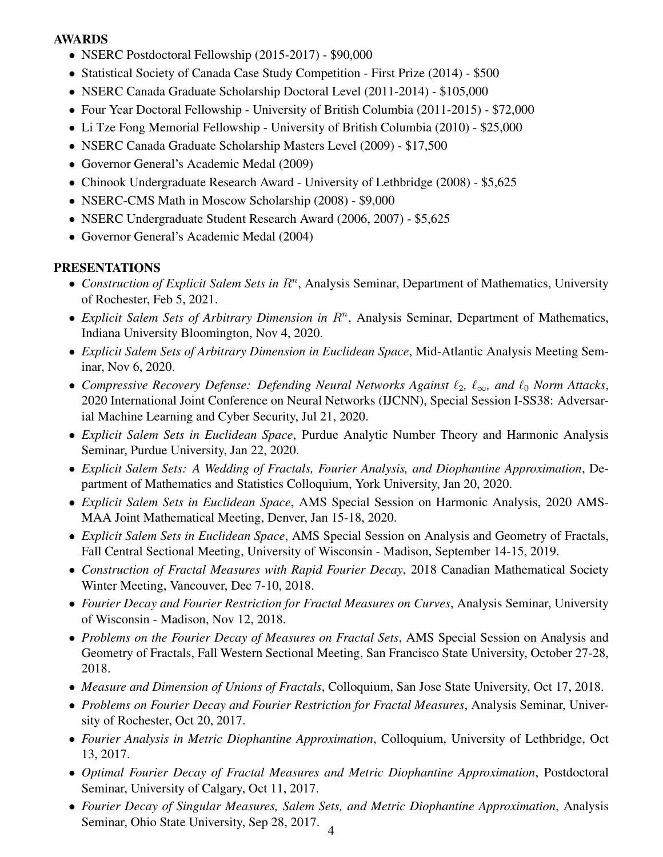#### AWARDS

- NSERC Postdoctoral Fellowship (2015-2017) \$90,000
- Statistical Society of Canada Case Study Competition First Prize (2014) \$500
- NSERC Canada Graduate Scholarship Doctoral Level (2011-2014) \$105,000
- Four Year Doctoral Fellowship University of British Columbia (2011-2015) \$72,000
- Li Tze Fong Memorial Fellowship University of British Columbia (2010) \$25,000
- NSERC Canada Graduate Scholarship Masters Level (2009) \$17,500
- Governor General's Academic Medal (2009)
- Chinook Undergraduate Research Award University of Lethbridge (2008) \$5,625
- NSERC-CMS Math in Moscow Scholarship (2008) \$9,000
- NSERC Undergraduate Student Research Award (2006, 2007) \$5,625
- Governor General's Academic Medal (2004)

#### PRESENTATIONS

- Construction of Explicit Salem Sets in  $R<sup>n</sup>$ , Analysis Seminar, Department of Mathematics, University of Rochester, Feb 5, 2021.
- Explicit Salem Sets of Arbitrary Dimension in R<sup>n</sup>, Analysis Seminar, Department of Mathematics, Indiana University Bloomington, Nov 4, 2020.
- *Explicit Salem Sets of Arbitrary Dimension in Euclidean Space*, Mid-Atlantic Analysis Meeting Seminar, Nov 6, 2020.
- *Compressive Recovery Defense: Defending Neural Networks Against* `2*,* `∞*, and* `<sup>0</sup> *Norm Attacks*, 2020 International Joint Conference on Neural Networks (IJCNN), Special Session I-SS38: Adversarial Machine Learning and Cyber Security, Jul 21, 2020.
- *Explicit Salem Sets in Euclidean Space*, Purdue Analytic Number Theory and Harmonic Analysis Seminar, Purdue University, Jan 22, 2020.
- *Explicit Salem Sets: A Wedding of Fractals, Fourier Analysis, and Diophantine Approximation*, Department of Mathematics and Statistics Colloquium, York University, Jan 20, 2020.
- *Explicit Salem Sets in Euclidean Space*, AMS Special Session on Harmonic Analysis, 2020 AMS-MAA Joint Mathematical Meeting, Denver, Jan 15-18, 2020.
- *Explicit Salem Sets in Euclidean Space*, AMS Special Session on Analysis and Geometry of Fractals, Fall Central Sectional Meeting, University of Wisconsin - Madison, September 14-15, 2019.
- *Construction of Fractal Measures with Rapid Fourier Decay*, 2018 Canadian Mathematical Society Winter Meeting, Vancouver, Dec 7-10, 2018.
- *Fourier Decay and Fourier Restriction for Fractal Measures on Curves*, Analysis Seminar, University of Wisconsin - Madison, Nov 12, 2018.
- *Problems on the Fourier Decay of Measures on Fractal Sets*, AMS Special Session on Analysis and Geometry of Fractals, Fall Western Sectional Meeting, San Francisco State University, October 27-28, 2018.
- *Measure and Dimension of Unions of Fractals*, Colloquium, San Jose State University, Oct 17, 2018.
- *Problems on Fourier Decay and Fourier Restriction for Fractal Measures*, Analysis Seminar, University of Rochester, Oct 20, 2017.
- *Fourier Analysis in Metric Diophantine Approximation*, Colloquium, University of Lethbridge, Oct 13, 2017.
- *Optimal Fourier Decay of Fractal Measures and Metric Diophantine Approximation*, Postdoctoral Seminar, University of Calgary, Oct 11, 2017.
- *Fourier Decay of Singular Measures, Salem Sets, and Metric Diophantine Approximation*, Analysis Seminar, Ohio State University, Sep 28, 2017.